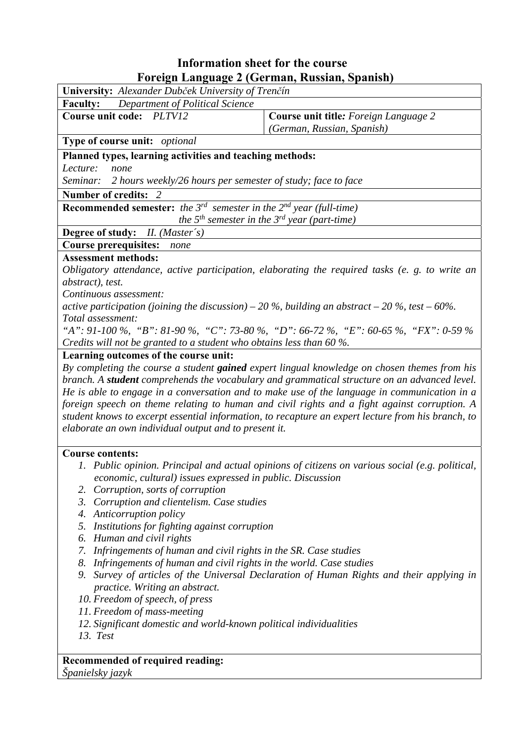## **Information sheet for the course** Foreign Language 2 (German, Russian, Spanish)

| Foreign Language 2 (German, Russian, Spanish)                                                                      |                                                                                                                                                                                                                                                                                              |  |  |  |  |  |
|--------------------------------------------------------------------------------------------------------------------|----------------------------------------------------------------------------------------------------------------------------------------------------------------------------------------------------------------------------------------------------------------------------------------------|--|--|--|--|--|
| University: Alexander Dubček University of Trenčín                                                                 |                                                                                                                                                                                                                                                                                              |  |  |  |  |  |
| <b>Faculty:</b><br><b>Department of Political Science</b>                                                          |                                                                                                                                                                                                                                                                                              |  |  |  |  |  |
| Course unit code: PLTV12                                                                                           | Course unit title: Foreign Language 2                                                                                                                                                                                                                                                        |  |  |  |  |  |
|                                                                                                                    | (German, Russian, Spanish)                                                                                                                                                                                                                                                                   |  |  |  |  |  |
| Type of course unit: optional                                                                                      |                                                                                                                                                                                                                                                                                              |  |  |  |  |  |
| Planned types, learning activities and teaching methods:                                                           |                                                                                                                                                                                                                                                                                              |  |  |  |  |  |
| Lecture:<br>none                                                                                                   |                                                                                                                                                                                                                                                                                              |  |  |  |  |  |
| 2 hours weekly/26 hours per semester of study; face to face<br>Seminar:                                            |                                                                                                                                                                                                                                                                                              |  |  |  |  |  |
| <b>Number of credits:</b><br>- 2                                                                                   |                                                                                                                                                                                                                                                                                              |  |  |  |  |  |
| <b>Recommended semester:</b> the $3^{rd}$ semester in the $2^{nd}$ year (full-time)                                |                                                                                                                                                                                                                                                                                              |  |  |  |  |  |
|                                                                                                                    | the $5^{th}$ semester in the $3^{rd}$ year (part-time)                                                                                                                                                                                                                                       |  |  |  |  |  |
| Degree of study: II. (Master's)                                                                                    |                                                                                                                                                                                                                                                                                              |  |  |  |  |  |
| <b>Course prerequisites:</b><br>none                                                                               |                                                                                                                                                                                                                                                                                              |  |  |  |  |  |
| <b>Assessment methods:</b>                                                                                         |                                                                                                                                                                                                                                                                                              |  |  |  |  |  |
|                                                                                                                    |                                                                                                                                                                                                                                                                                              |  |  |  |  |  |
| Obligatory attendance, active participation, elaborating the required tasks (e. g. to write an<br>abstract), test. |                                                                                                                                                                                                                                                                                              |  |  |  |  |  |
| Continuous assessment:                                                                                             |                                                                                                                                                                                                                                                                                              |  |  |  |  |  |
| active participation (joining the discussion) – 20 %, building an abstract – 20 %, test – 60%.                     |                                                                                                                                                                                                                                                                                              |  |  |  |  |  |
| Total assessment:                                                                                                  |                                                                                                                                                                                                                                                                                              |  |  |  |  |  |
|                                                                                                                    | "A": 91-100 %, "B": 81-90 %, "C": 73-80 %, "D": 66-72 %, "E": 60-65 %, "FX": 0-59 %                                                                                                                                                                                                          |  |  |  |  |  |
| Credits will not be granted to a student who obtains less than 60 %.                                               |                                                                                                                                                                                                                                                                                              |  |  |  |  |  |
| Learning outcomes of the course unit:                                                                              |                                                                                                                                                                                                                                                                                              |  |  |  |  |  |
|                                                                                                                    | By completing the course a student gained expert lingual knowledge on chosen themes from his<br>branch. A student comprehends the vocabulary and grammatical structure on an advanced level.<br>He is able to engage in a conversation and to make use of the language in communication in a |  |  |  |  |  |
| elaborate an own individual output and to present it.                                                              | foreign speech on theme relating to human and civil rights and a fight against corruption. A<br>student knows to excerpt essential information, to recapture an expert lecture from his branch, to                                                                                           |  |  |  |  |  |
| <b>Course contents:</b>                                                                                            |                                                                                                                                                                                                                                                                                              |  |  |  |  |  |
| economic, cultural) issues expressed in public. Discussion                                                         | 1. Public opinion. Principal and actual opinions of citizens on various social (e.g. political,                                                                                                                                                                                              |  |  |  |  |  |
| Corruption, sorts of corruption<br>2.                                                                              |                                                                                                                                                                                                                                                                                              |  |  |  |  |  |
| Corruption and clientelism. Case studies<br>3.                                                                     |                                                                                                                                                                                                                                                                                              |  |  |  |  |  |
| 4.<br>Anticorruption policy                                                                                        |                                                                                                                                                                                                                                                                                              |  |  |  |  |  |
| 5.<br>Institutions for fighting against corruption                                                                 |                                                                                                                                                                                                                                                                                              |  |  |  |  |  |
| Human and civil rights<br>6.                                                                                       |                                                                                                                                                                                                                                                                                              |  |  |  |  |  |
| Infringements of human and civil rights in the SR. Case studies<br>7.                                              |                                                                                                                                                                                                                                                                                              |  |  |  |  |  |
| Infringements of human and civil rights in the world. Case studies<br>8.                                           |                                                                                                                                                                                                                                                                                              |  |  |  |  |  |
| 9.<br>practice. Writing an abstract.                                                                               | Survey of articles of the Universal Declaration of Human Rights and their applying in                                                                                                                                                                                                        |  |  |  |  |  |
| 10. Freedom of speech, of press                                                                                    |                                                                                                                                                                                                                                                                                              |  |  |  |  |  |
| 11. Freedom of mass-meeting                                                                                        |                                                                                                                                                                                                                                                                                              |  |  |  |  |  |
| $d$ and again and would because nothing to                                                                         |                                                                                                                                                                                                                                                                                              |  |  |  |  |  |

*12. Significant domestic and world-known political individualities* 

*13. Test* 

## **Recommended of required reading:** *Španielsky jazyk*